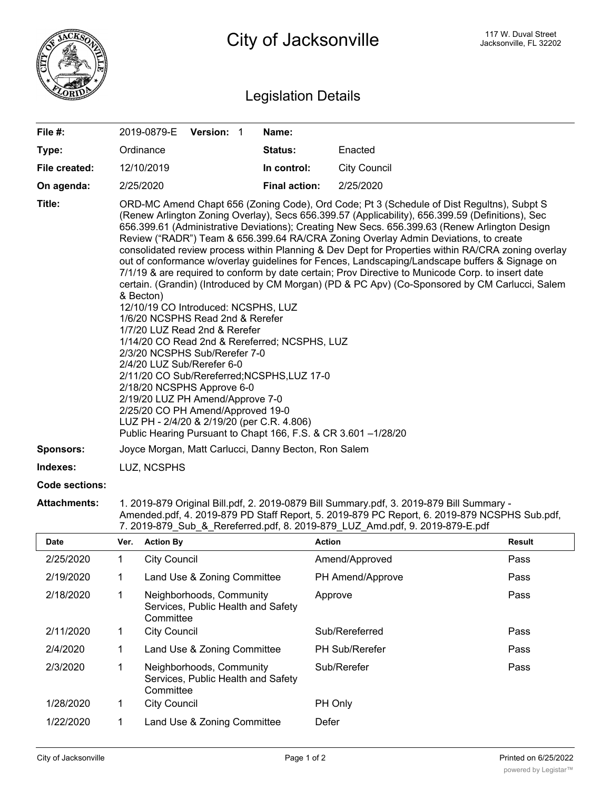

## Legislation Details

| File #:               |                                                                                                                                                                                                                                                                                                                                                                                                                                                                                                                                                                                                                                                                                                                                                                                                                                                                                                                                                                                                                                                                                                                                                                                                                                                                                                                     |                     | 2019-0879-E Version: 1                                         |  | Name:                |                     |        |
|-----------------------|---------------------------------------------------------------------------------------------------------------------------------------------------------------------------------------------------------------------------------------------------------------------------------------------------------------------------------------------------------------------------------------------------------------------------------------------------------------------------------------------------------------------------------------------------------------------------------------------------------------------------------------------------------------------------------------------------------------------------------------------------------------------------------------------------------------------------------------------------------------------------------------------------------------------------------------------------------------------------------------------------------------------------------------------------------------------------------------------------------------------------------------------------------------------------------------------------------------------------------------------------------------------------------------------------------------------|---------------------|----------------------------------------------------------------|--|----------------------|---------------------|--------|
| Type:                 |                                                                                                                                                                                                                                                                                                                                                                                                                                                                                                                                                                                                                                                                                                                                                                                                                                                                                                                                                                                                                                                                                                                                                                                                                                                                                                                     | Ordinance           |                                                                |  | Status:              | Enacted             |        |
| File created:         |                                                                                                                                                                                                                                                                                                                                                                                                                                                                                                                                                                                                                                                                                                                                                                                                                                                                                                                                                                                                                                                                                                                                                                                                                                                                                                                     | 12/10/2019          |                                                                |  | In control:          | <b>City Council</b> |        |
| On agenda:            |                                                                                                                                                                                                                                                                                                                                                                                                                                                                                                                                                                                                                                                                                                                                                                                                                                                                                                                                                                                                                                                                                                                                                                                                                                                                                                                     | 2/25/2020           |                                                                |  | <b>Final action:</b> | 2/25/2020           |        |
| Title:                | ORD-MC Amend Chapt 656 (Zoning Code), Ord Code; Pt 3 (Schedule of Dist Regultns), Subpt S<br>(Renew Arlington Zoning Overlay), Secs 656.399.57 (Applicability), 656.399.59 (Definitions), Sec<br>656.399.61 (Administrative Deviations); Creating New Secs. 656.399.63 (Renew Arlington Design<br>Review ("RADR") Team & 656.399.64 RA/CRA Zoning Overlay Admin Deviations, to create<br>consolidated review process within Planning & Dev Dept for Properties within RA/CRA zoning overlay<br>out of conformance w/overlay guidelines for Fences, Landscaping/Landscape buffers & Signage on<br>7/1/19 & are required to conform by date certain; Prov Directive to Municode Corp. to insert date<br>certain. (Grandin) (Introduced by CM Morgan) (PD & PC Apv) (Co-Sponsored by CM Carlucci, Salem<br>& Becton)<br>12/10/19 CO Introduced: NCSPHS, LUZ<br>1/6/20 NCSPHS Read 2nd & Rerefer<br>1/7/20 LUZ Read 2nd & Rerefer<br>1/14/20 CO Read 2nd & Rereferred; NCSPHS, LUZ<br>2/3/20 NCSPHS Sub/Rerefer 7-0<br>2/4/20 LUZ Sub/Rerefer 6-0<br>2/11/20 CO Sub/Rereferred; NCSPHS, LUZ 17-0<br>2/18/20 NCSPHS Approve 6-0<br>2/19/20 LUZ PH Amend/Approve 7-0<br>2/25/20 CO PH Amend/Approved 19-0<br>LUZ PH - 2/4/20 & 2/19/20 (per C.R. 4.806)<br>Public Hearing Pursuant to Chapt 166, F.S. & CR 3.601 -1/28/20 |                     |                                                                |  |                      |                     |        |
| <b>Sponsors:</b>      | Joyce Morgan, Matt Carlucci, Danny Becton, Ron Salem                                                                                                                                                                                                                                                                                                                                                                                                                                                                                                                                                                                                                                                                                                                                                                                                                                                                                                                                                                                                                                                                                                                                                                                                                                                                |                     |                                                                |  |                      |                     |        |
| Indexes:              | LUZ, NCSPHS                                                                                                                                                                                                                                                                                                                                                                                                                                                                                                                                                                                                                                                                                                                                                                                                                                                                                                                                                                                                                                                                                                                                                                                                                                                                                                         |                     |                                                                |  |                      |                     |        |
| <b>Code sections:</b> |                                                                                                                                                                                                                                                                                                                                                                                                                                                                                                                                                                                                                                                                                                                                                                                                                                                                                                                                                                                                                                                                                                                                                                                                                                                                                                                     |                     |                                                                |  |                      |                     |        |
| <b>Attachments:</b>   | 1. 2019-879 Original Bill.pdf, 2. 2019-0879 Bill Summary.pdf, 3. 2019-879 Bill Summary -<br>Amended.pdf, 4. 2019-879 PD Staff Report, 5. 2019-879 PC Report, 6. 2019-879 NCSPHS Sub.pdf,<br>7. 2019-879 Sub & Rereferred.pdf, 8. 2019-879 LUZ Amd.pdf, 9. 2019-879-E.pdf                                                                                                                                                                                                                                                                                                                                                                                                                                                                                                                                                                                                                                                                                                                                                                                                                                                                                                                                                                                                                                            |                     |                                                                |  |                      |                     |        |
| Date                  | Ver.                                                                                                                                                                                                                                                                                                                                                                                                                                                                                                                                                                                                                                                                                                                                                                                                                                                                                                                                                                                                                                                                                                                                                                                                                                                                                                                | <b>Action By</b>    |                                                                |  |                      | <b>Action</b>       | Result |
| 2/25/2020             | $\mathbf{1}$                                                                                                                                                                                                                                                                                                                                                                                                                                                                                                                                                                                                                                                                                                                                                                                                                                                                                                                                                                                                                                                                                                                                                                                                                                                                                                        | <b>City Council</b> |                                                                |  |                      | Amend/Approved      | Pass   |
| 2/19/2020             | 1                                                                                                                                                                                                                                                                                                                                                                                                                                                                                                                                                                                                                                                                                                                                                                                                                                                                                                                                                                                                                                                                                                                                                                                                                                                                                                                   |                     | Land Use & Zoning Committee                                    |  |                      | PH Amend/Approve    | Pass   |
| 2/18/2020             | 1                                                                                                                                                                                                                                                                                                                                                                                                                                                                                                                                                                                                                                                                                                                                                                                                                                                                                                                                                                                                                                                                                                                                                                                                                                                                                                                   | Committee           | Neighborhoods, Community<br>Services, Public Health and Safety |  |                      | Approve             | Pass   |
| 2/11/2020             | 1                                                                                                                                                                                                                                                                                                                                                                                                                                                                                                                                                                                                                                                                                                                                                                                                                                                                                                                                                                                                                                                                                                                                                                                                                                                                                                                   | <b>City Council</b> |                                                                |  |                      | Sub/Rereferred      | Pass   |
| 2/4/2020              | 1                                                                                                                                                                                                                                                                                                                                                                                                                                                                                                                                                                                                                                                                                                                                                                                                                                                                                                                                                                                                                                                                                                                                                                                                                                                                                                                   |                     | Land Use & Zoning Committee                                    |  |                      | PH Sub/Rerefer      | Pass   |
| 2/3/2020              | 1                                                                                                                                                                                                                                                                                                                                                                                                                                                                                                                                                                                                                                                                                                                                                                                                                                                                                                                                                                                                                                                                                                                                                                                                                                                                                                                   | Committee           | Neighborhoods, Community<br>Services, Public Health and Safety |  |                      | Sub/Rerefer         | Pass   |
| 1/28/2020             | 1                                                                                                                                                                                                                                                                                                                                                                                                                                                                                                                                                                                                                                                                                                                                                                                                                                                                                                                                                                                                                                                                                                                                                                                                                                                                                                                   | <b>City Council</b> |                                                                |  |                      | PH Only             |        |
| 1/22/2020             | $\mathbf{1}$                                                                                                                                                                                                                                                                                                                                                                                                                                                                                                                                                                                                                                                                                                                                                                                                                                                                                                                                                                                                                                                                                                                                                                                                                                                                                                        |                     | Land Use & Zoning Committee                                    |  |                      | Defer               |        |